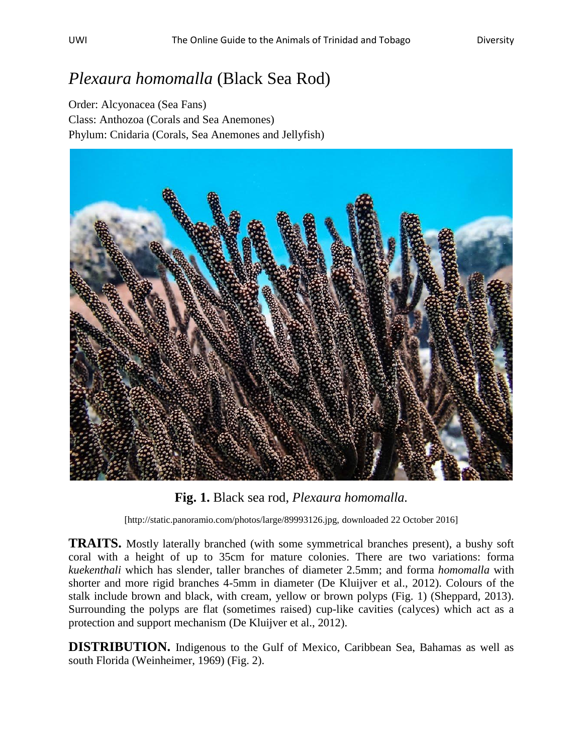## *Plexaura homomalla* (Black Sea Rod)

Order: Alcyonacea (Sea Fans) Class: Anthozoa (Corals and Sea Anemones) Phylum: Cnidaria (Corals, Sea Anemones and Jellyfish)



**Fig. 1.** Black sea rod, *Plexaura homomalla.*

[http://static.panoramio.com/photos/large/89993126.jpg, downloaded 22 October 2016]

**TRAITS.** Mostly laterally branched (with some symmetrical branches present), a bushy soft coral with a height of up to 35cm for mature colonies. There are two variations: forma *kuekenthali* which has slender, taller branches of diameter 2.5mm; and forma *homomalla* with shorter and more rigid branches 4-5mm in diameter (De Kluijver et al., 2012). Colours of the stalk include brown and black, with cream, yellow or brown polyps (Fig. 1) (Sheppard, 2013). Surrounding the polyps are flat (sometimes raised) cup-like cavities (calyces) which act as a protection and support mechanism (De Kluijver et al., 2012).

**DISTRIBUTION.** Indigenous to the Gulf of Mexico, Caribbean Sea, Bahamas as well as south Florida (Weinheimer, 1969) (Fig. 2).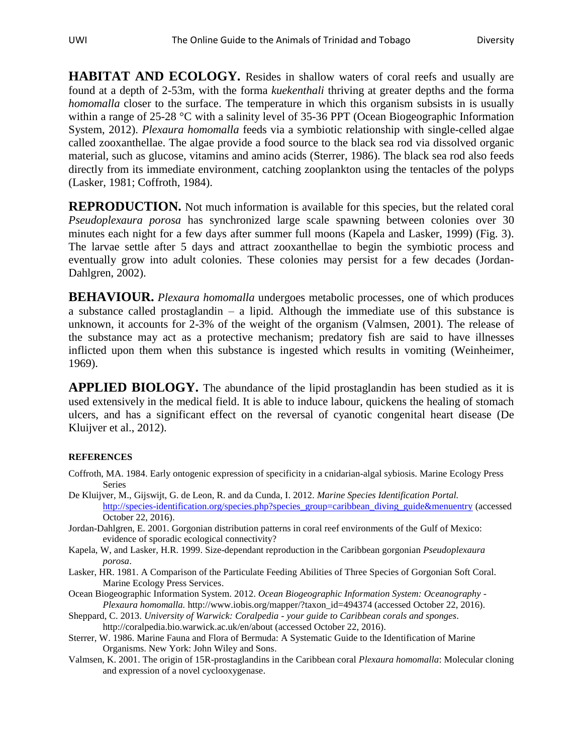**HABITAT AND ECOLOGY.** Resides in shallow waters of coral reefs and usually are found at a depth of 2-53m, with the forma *kuekenthali* thriving at greater depths and the forma *homomalla* closer to the surface. The temperature in which this organism subsists in is usually within a range of 25-28 °C with a salinity level of 35-36 PPT (Ocean Biogeographic Information System, 2012). *Plexaura homomalla* feeds via a symbiotic relationship with single-celled algae called zooxanthellae. The algae provide a food source to the black sea rod via dissolved organic material, such as glucose, vitamins and amino acids (Sterrer, 1986). The black sea rod also feeds directly from its immediate environment, catching zooplankton using the tentacles of the polyps (Lasker, 1981; Coffroth, 1984).

**REPRODUCTION.** Not much information is available for this species, but the related coral *Pseudoplexaura porosa* has synchronized large scale spawning between colonies over 30 minutes each night for a few days after summer full moons (Kapela and Lasker, 1999) (Fig. 3). The larvae settle after 5 days and attract zooxanthellae to begin the symbiotic process and eventually grow into adult colonies. These colonies may persist for a few decades (Jordan-Dahlgren, 2002).

**BEHAVIOUR.** *Plexaura homomalla* undergoes metabolic processes, one of which produces a substance called prostaglandin – a lipid. Although the immediate use of this substance is unknown, it accounts for 2-3% of the weight of the organism (Valmsen, 2001). The release of the substance may act as a protective mechanism; predatory fish are said to have illnesses inflicted upon them when this substance is ingested which results in vomiting (Weinheimer, 1969).

**APPLIED BIOLOGY.** The abundance of the lipid prostaglandin has been studied as it is used extensively in the medical field. It is able to induce labour, quickens the healing of stomach ulcers, and has a significant effect on the reversal of cyanotic congenital heart disease (De Kluijver et al., 2012).

## **REFERENCES**

- Coffroth, MA. 1984. Early ontogenic expression of specificity in a cnidarian-algal sybiosis. Marine Ecology Press Series
- De Kluijver, M., Gijswijt, G. de Leon, R. and da Cunda, I. 2012. *Marine Species Identification Portal.* [http://species-identification.org/species.php?species\\_group=caribbean\\_diving\\_guide&menuentry](http://species-identification.org/species.php?species_group=caribbean_diving_guide&menuentry) (accessed October 22, 2016).
- Jordan-Dahlgren, E. 2001. Gorgonian distribution patterns in coral reef environments of the Gulf of Mexico: evidence of sporadic ecological connectivity?
- Kapela, W, and Lasker, H.R. 1999. Size-dependant reproduction in the Caribbean gorgonian *Pseudoplexaura porosa*.
- Lasker, HR. 1981. A Comparison of the Particulate Feeding Abilities of Three Species of Gorgonian Soft Coral. Marine Ecology Press Services.
- Ocean Biogeographic Information System. 2012. *Ocean Biogeographic Information System: Oceanography - Plexaura homomalla.* http://www.iobis.org/mapper/?taxon\_id=494374 (accessed October 22, 2016).
- Sheppard, C. 2013. *University of Warwick: Coralpedia - your guide to Caribbean corals and sponges*. http://coralpedia.bio.warwick.ac.uk/en/about (accessed October 22, 2016).
- Sterrer, W. 1986. Marine Fauna and Flora of Bermuda: A Systematic Guide to the Identification of Marine Organisms. New York: John Wiley and Sons.
- Valmsen, K. 2001. The origin of 15R-prostaglandins in the Caribbean coral *Plexaura homomalla*: Molecular cloning and expression of a novel cyclooxygenase.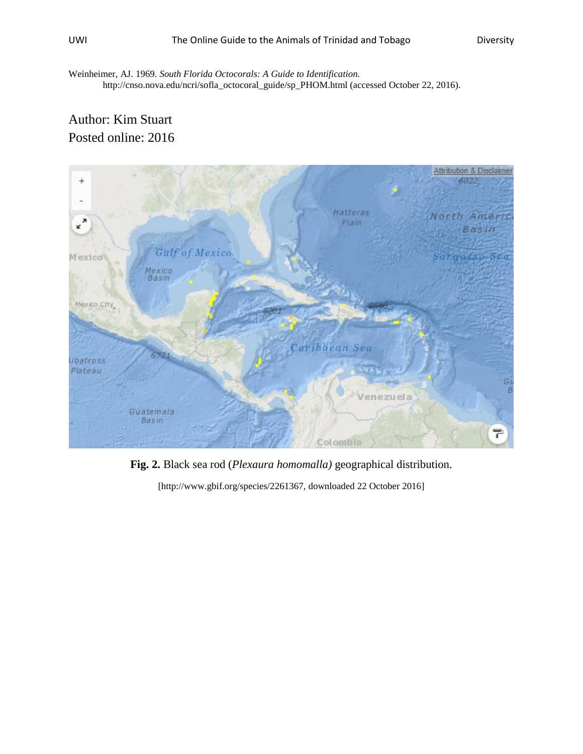Weinheimer, AJ. 1969. *South Florida Octocorals: A Guide to Identification.* http://cnso.nova.edu/ncri/sofla\_octocoral\_guide/sp\_PHOM.html (accessed October 22, 2016).

## Author: Kim Stuart Posted online: 2016



**Fig. 2.** Black sea rod (*Plexaura homomalla)* geographical distribution.

[http://www.gbif.org/species/2261367, downloaded 22 October 2016]